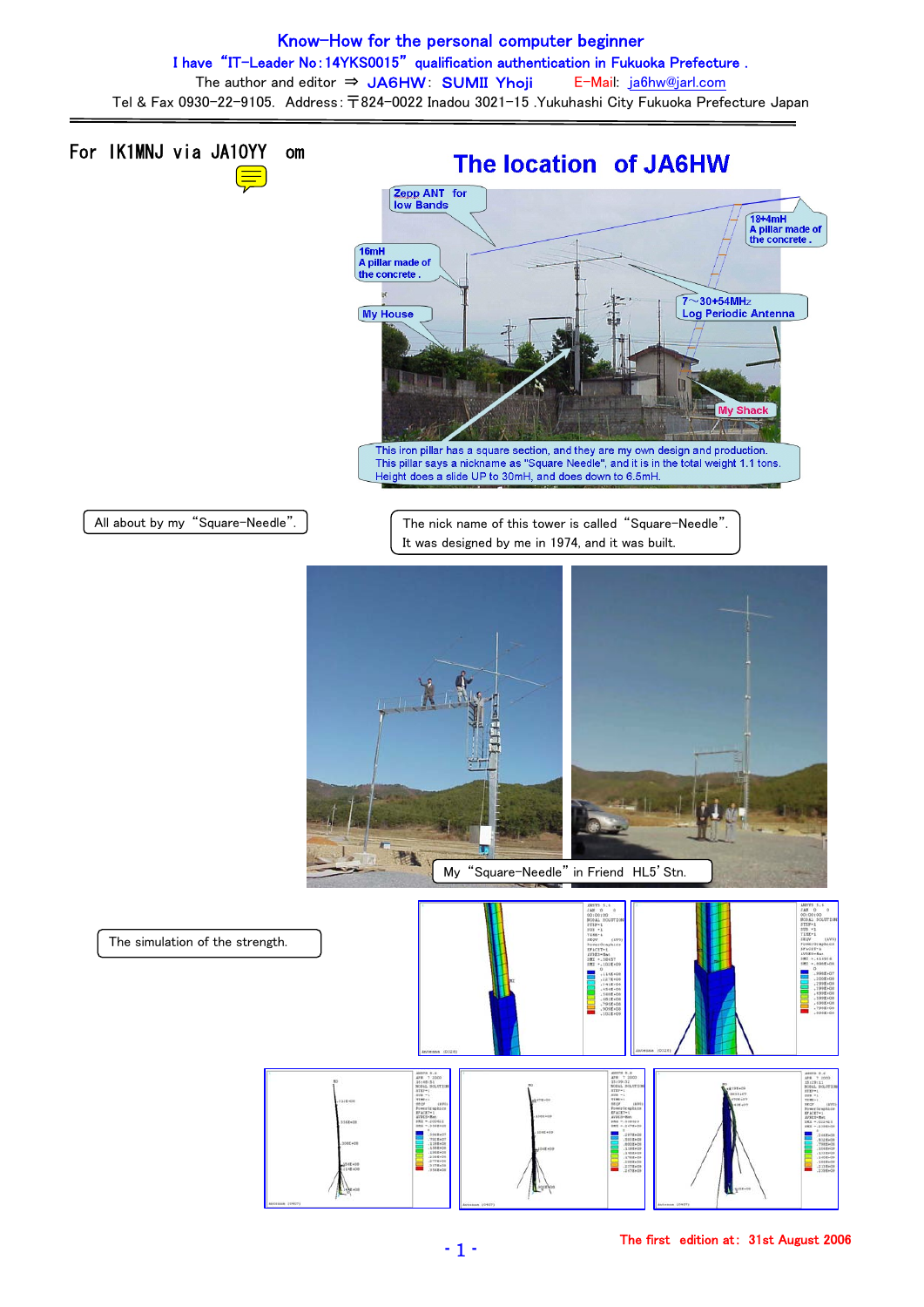Know-How for the personal computer beginner I have "IT-Leader No:14YKS0015" qualification authentication in Fukuoka Prefecture . The author and editor ⇒ JA6HW: SUMII Yhoji E-Mail: ja6hw@jarl.com

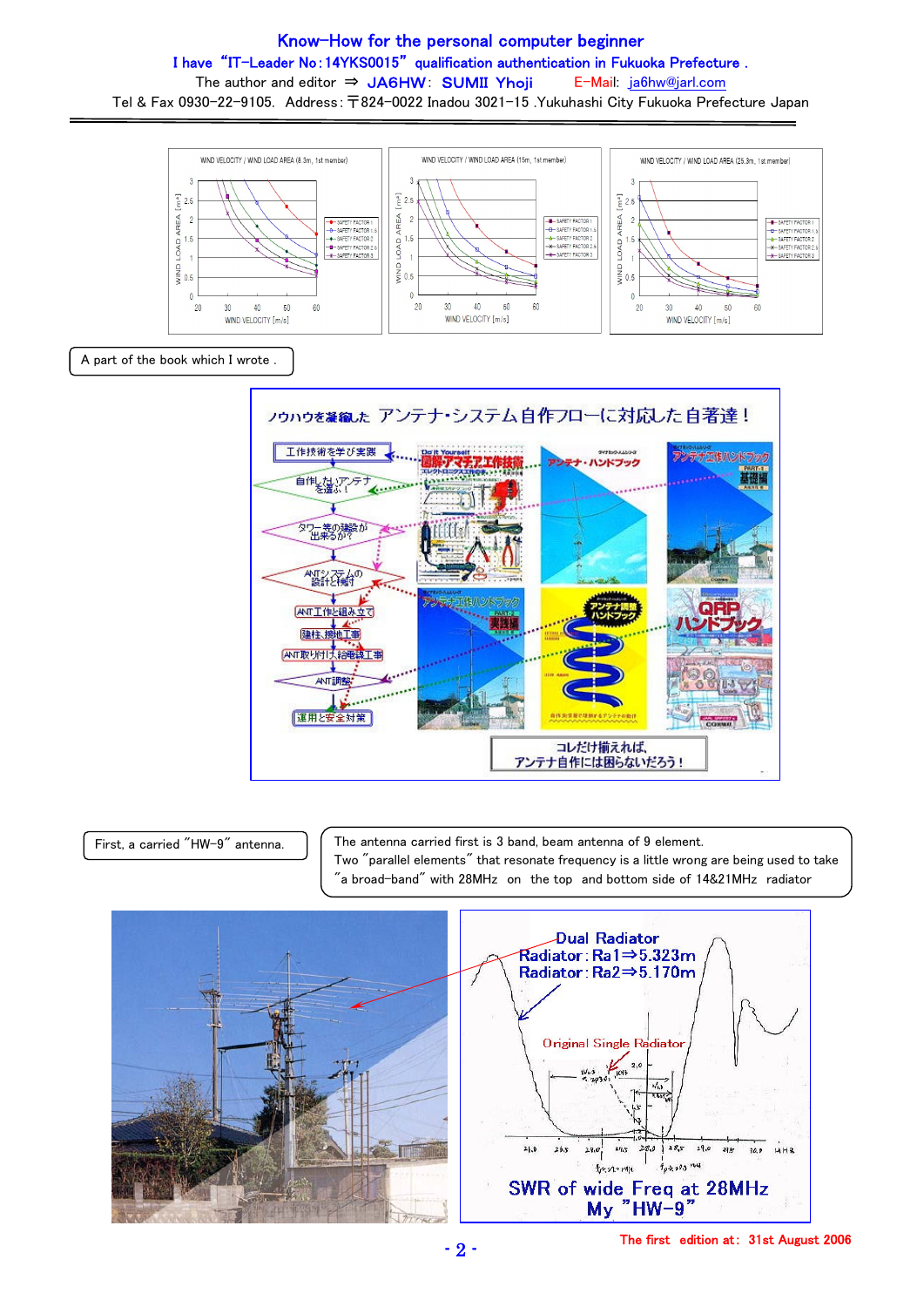## Know-How for the personal computer beginner I have "IT-Leader No:14YKS0015" qualification authentication in Fukuoka Prefecture .

The author and editor ⇒ JA6HW: SUMII Yhoji E-Mail: ja6hw@jarl.com Tel & Fax 0930-22-9105. Address: 〒824-0022 Inadou 3021-15 .Yukuhashi City Fukuoka Prefecture Japan



## A part of the book which I wrote .



## First, a carried "HW-9" antenna.

The antenna carried first is 3 band, beam antenna of 9 element. Two "parallel elements" that resonate frequency is a little wrong are being used to take "a broad-band" with 28MHz on the top and bottom side of 14&21MHz radiator



<sup>- 2 -</sup> The first edition at: 31st August 2006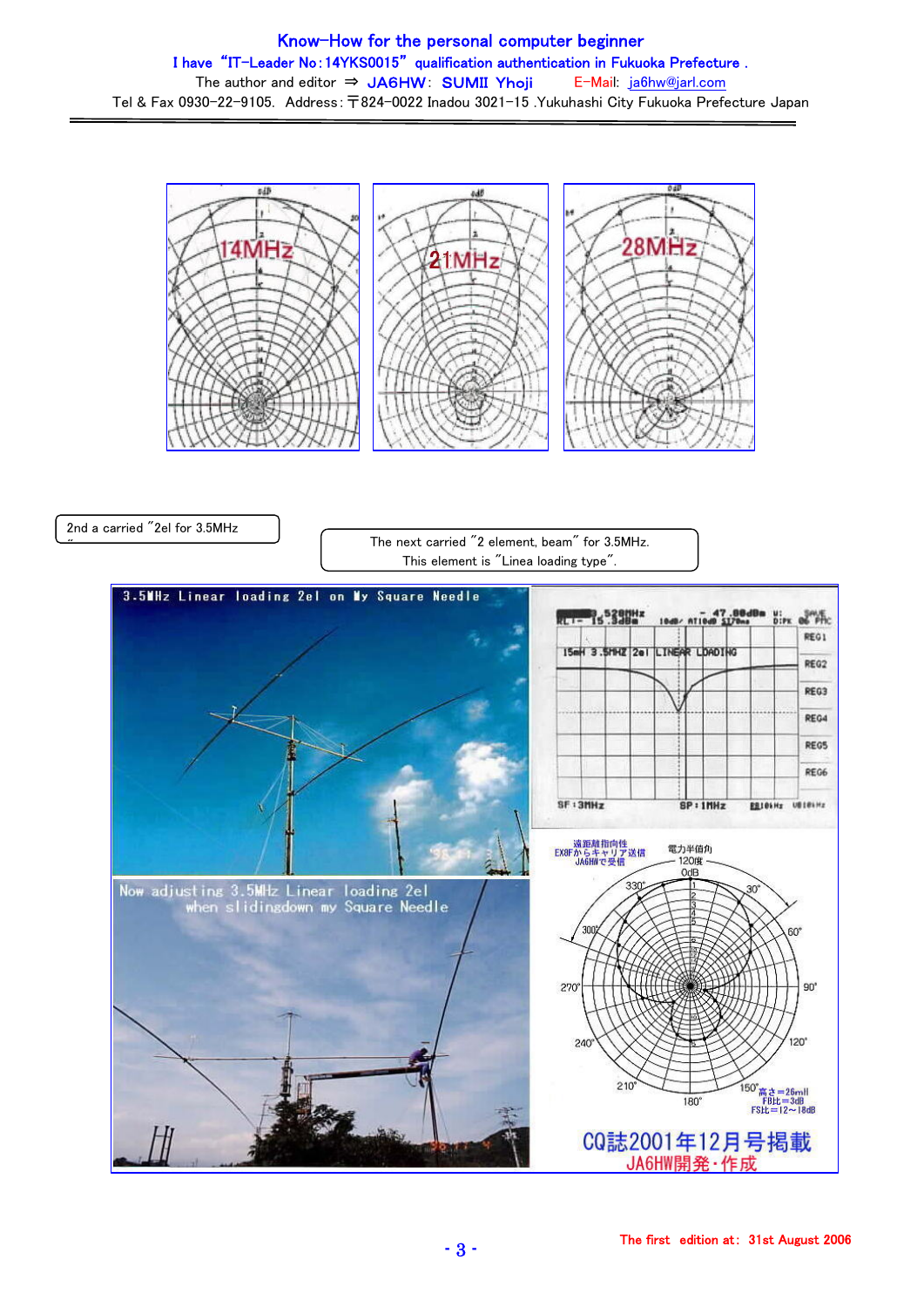

2nd a carried "2el for 3.5MHz

"

The next carried "2 element, beam" for 3.5MHz. This element is "Linea loading type".